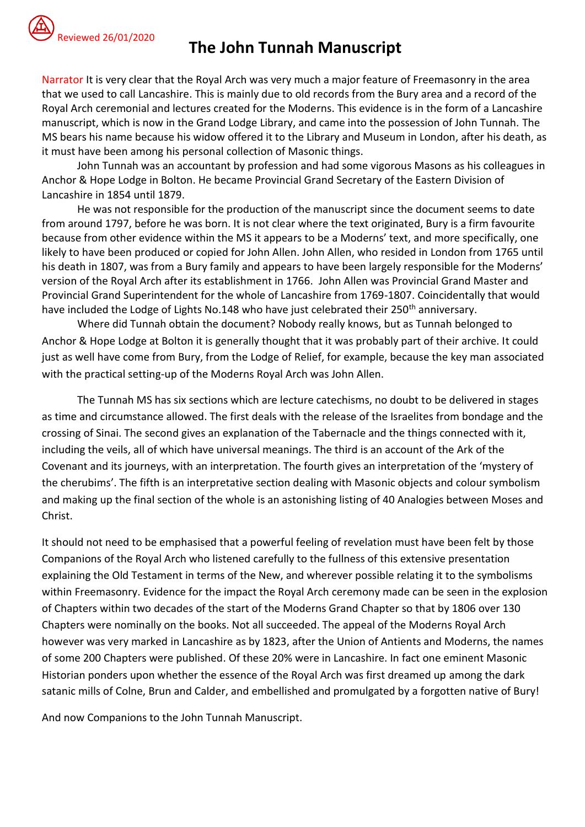

## Reviewed 26/01/2020 **The John Tunnah Manuscript**

Narrator It is very clear that the Royal Arch was very much a major feature of Freemasonry in the area that we used to call Lancashire. This is mainly due to old records from the Bury area and a record of the Royal Arch ceremonial and lectures created for the Moderns. This evidence is in the form of a Lancashire manuscript, which is now in the Grand Lodge Library, and came into the possession of John Tunnah. The MS bears his name because his widow offered it to the Library and Museum in London, after his death, as it must have been among his personal collection of Masonic things.

John Tunnah was an accountant by profession and had some vigorous Masons as his colleagues in Anchor & Hope Lodge in Bolton. He became Provincial Grand Secretary of the Eastern Division of Lancashire in 1854 until 1879.

He was not responsible for the production of the manuscript since the document seems to date from around 1797, before he was born. It is not clear where the text originated, Bury is a firm favourite because from other evidence within the MS it appears to be a Moderns' text, and more specifically, one likely to have been produced or copied for John Allen. John Allen, who resided in London from 1765 until his death in 1807, was from a Bury family and appears to have been largely responsible for the Moderns' version of the Royal Arch after its establishment in 1766. John Allen was Provincial Grand Master and Provincial Grand Superintendent for the whole of Lancashire from 1769-1807. Coincidentally that would have included the Lodge of Lights No.148 who have just celebrated their 250<sup>th</sup> anniversary.

Where did Tunnah obtain the document? Nobody really knows, but as Tunnah belonged to Anchor & Hope Lodge at Bolton it is generally thought that it was probably part of their archive. It could just as well have come from Bury, from the Lodge of Relief, for example, because the key man associated with the practical setting-up of the Moderns Royal Arch was John Allen.

The Tunnah MS has six sections which are lecture catechisms, no doubt to be delivered in stages as time and circumstance allowed. The first deals with the release of the Israelites from bondage and the crossing of Sinai. The second gives an explanation of the Tabernacle and the things connected with it, including the veils, all of which have universal meanings. The third is an account of the Ark of the Covenant and its journeys, with an interpretation. The fourth gives an interpretation of the 'mystery of the cherubims'. The fifth is an interpretative section dealing with Masonic objects and colour symbolism and making up the final section of the whole is an astonishing listing of 40 Analogies between Moses and Christ.

It should not need to be emphasised that a powerful feeling of revelation must have been felt by those Companions of the Royal Arch who listened carefully to the fullness of this extensive presentation explaining the Old Testament in terms of the New, and wherever possible relating it to the symbolisms within Freemasonry. Evidence for the impact the Royal Arch ceremony made can be seen in the explosion of Chapters within two decades of the start of the Moderns Grand Chapter so that by 1806 over 130 Chapters were nominally on the books. Not all succeeded. The appeal of the Moderns Royal Arch however was very marked in Lancashire as by 1823, after the Union of Antients and Moderns, the names of some 200 Chapters were published. Of these 20% were in Lancashire. In fact one eminent Masonic Historian ponders upon whether the essence of the Royal Arch was first dreamed up among the dark satanic mills of Colne, Brun and Calder, and embellished and promulgated by a forgotten native of Bury!

And now Companions to the John Tunnah Manuscript.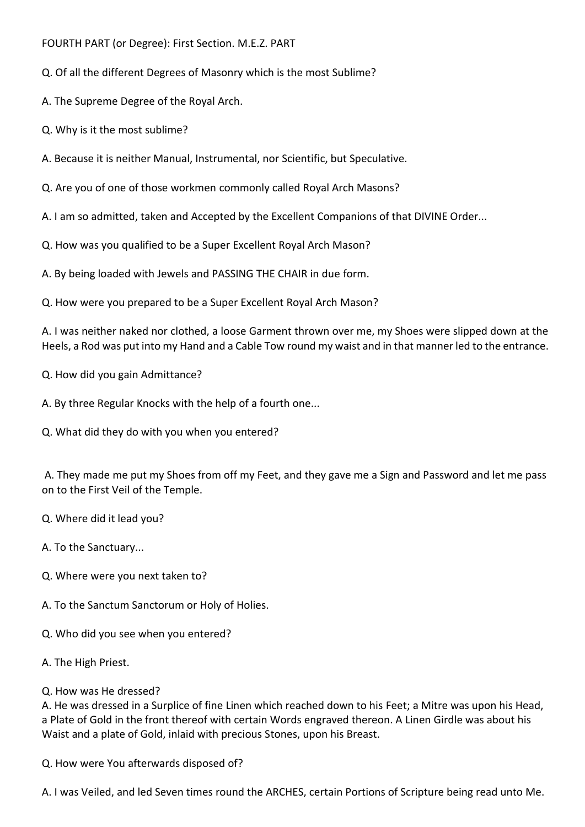- FOURTH PART (or Degree): First Section. M.E.Z. PART
- Q. Of all the different Degrees of Masonry which is the most Sublime?
- A. The Supreme Degree of the Royal Arch.
- Q. Why is it the most sublime?
- A. Because it is neither Manual, Instrumental, nor Scientific, but Speculative.
- Q. Are you of one of those workmen commonly called Royal Arch Masons?
- A. I am so admitted, taken and Accepted by the Excellent Companions of that DIVINE Order...
- Q. How was you qualified to be a Super Excellent Royal Arch Mason?
- A. By being loaded with Jewels and PASSING THE CHAIR in due form.
- Q. How were you prepared to be a Super Excellent Royal Arch Mason?

A. I was neither naked nor clothed, a loose Garment thrown over me, my Shoes were slipped down at the Heels, a Rod was put into my Hand and a Cable Tow round my waist and in that manner led to the entrance.

- Q. How did you gain Admittance?
- A. By three Regular Knocks with the help of a fourth one...
- Q. What did they do with you when you entered?

A. They made me put my Shoes from off my Feet, and they gave me a Sign and Password and let me pass on to the First Veil of the Temple.

- Q. Where did it lead you?
- A. To the Sanctuary...
- Q. Where were you next taken to?
- A. To the Sanctum Sanctorum or Holy of Holies.
- Q. Who did you see when you entered?
- A. The High Priest.
- Q. How was He dressed?

A. He was dressed in a Surplice of fine Linen which reached down to his Feet; a Mitre was upon his Head, a Plate of Gold in the front thereof with certain Words engraved thereon. A Linen Girdle was about his Waist and a plate of Gold, inlaid with precious Stones, upon his Breast.

Q. How were You afterwards disposed of?

A. I was Veiled, and led Seven times round the ARCHES, certain Portions of Scripture being read unto Me.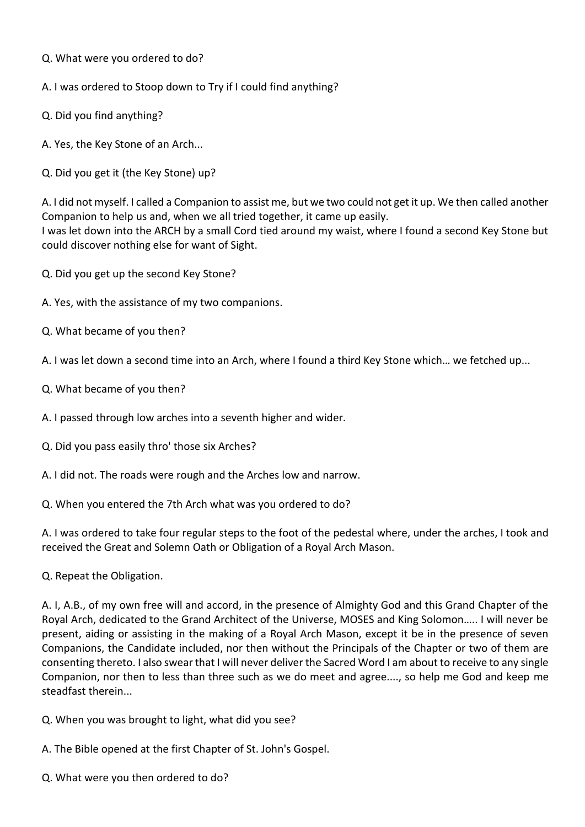- Q. What were you ordered to do?
- A. I was ordered to Stoop down to Try if I could find anything?
- Q. Did you find anything?
- A. Yes, the Key Stone of an Arch...
- Q. Did you get it (the Key Stone) up?

A. I did not myself. I called a Companion to assist me, but we two could not get it up. We then called another Companion to help us and, when we all tried together, it came up easily. I was let down into the ARCH by a small Cord tied around my waist, where I found a second Key Stone but could discover nothing else for want of Sight.

- Q. Did you get up the second Key Stone?
- A. Yes, with the assistance of my two companions.
- Q. What became of you then?

A. I was let down a second time into an Arch, where I found a third Key Stone which… we fetched up...

- Q. What became of you then?
- A. I passed through low arches into a seventh higher and wider.
- Q. Did you pass easily thro' those six Arches?
- A. I did not. The roads were rough and the Arches low and narrow.
- Q. When you entered the 7th Arch what was you ordered to do?

A. I was ordered to take four regular steps to the foot of the pedestal where, under the arches, I took and received the Great and Solemn Oath or Obligation of a Royal Arch Mason.

Q. Repeat the Obligation.

A. I, A.B., of my own free will and accord, in the presence of Almighty God and this Grand Chapter of the Royal Arch, dedicated to the Grand Architect of the Universe, MOSES and King Solomon….. I will never be present, aiding or assisting in the making of a Royal Arch Mason, except it be in the presence of seven Companions, the Candidate included, nor then without the Principals of the Chapter or two of them are consenting thereto. I also swear that I will never deliver the Sacred Word I am about to receive to any single Companion, nor then to less than three such as we do meet and agree...., so help me God and keep me steadfast therein...

- Q. When you was brought to light, what did you see?
- A. The Bible opened at the first Chapter of St. John's Gospel.
- Q. What were you then ordered to do?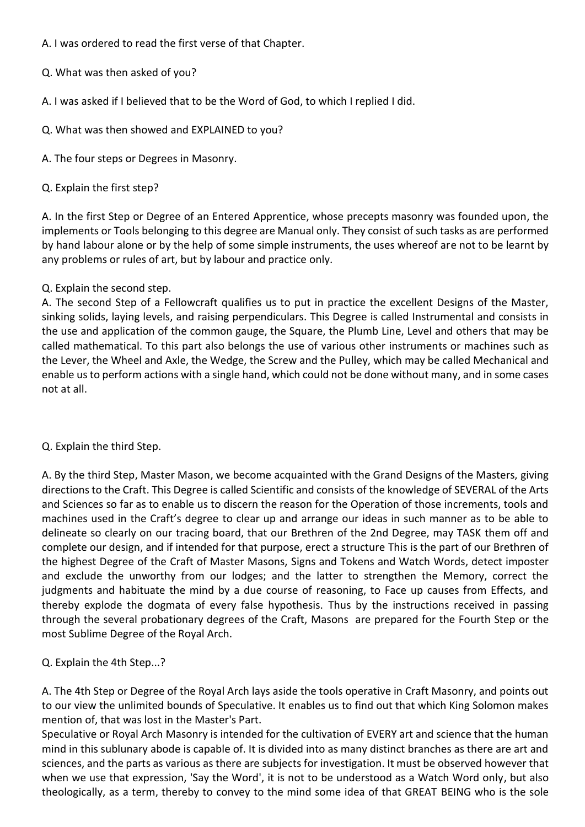- A. I was ordered to read the first verse of that Chapter.
- Q. What was then asked of you?
- A. I was asked if I believed that to be the Word of God, to which I replied I did.
- Q. What was then showed and EXPLAINED to you?
- A. The four steps or Degrees in Masonry.
- Q. Explain the first step?

A. In the first Step or Degree of an Entered Apprentice, whose precepts masonry was founded upon, the implements or Tools belonging to this degree are Manual only. They consist of such tasks as are performed by hand labour alone or by the help of some simple instruments, the uses whereof are not to be learnt by any problems or rules of art, but by labour and practice only.

Q. Explain the second step.

A. The second Step of a Fellowcraft qualifies us to put in practice the excellent Designs of the Master, sinking solids, laying levels, and raising perpendiculars. This Degree is called Instrumental and consists in the use and application of the common gauge, the Square, the Plumb Line, Level and others that may be called mathematical. To this part also belongs the use of various other instruments or machines such as the Lever, the Wheel and Axle, the Wedge, the Screw and the Pulley, which may be called Mechanical and enable us to perform actions with a single hand, which could not be done without many, and in some cases not at all.

Q. Explain the third Step.

A. By the third Step, Master Mason, we become acquainted with the Grand Designs of the Masters, giving directions to the Craft. This Degree is called Scientific and consists of the knowledge of SEVERAL of the Arts and Sciences so far as to enable us to discern the reason for the Operation of those increments, tools and machines used in the Craft's degree to clear up and arrange our ideas in such manner as to be able to delineate so clearly on our tracing board, that our Brethren of the 2nd Degree, may TASK them off and complete our design, and if intended for that purpose, erect a structure This is the part of our Brethren of the highest Degree of the Craft of Master Masons, Signs and Tokens and Watch Words, detect imposter and exclude the unworthy from our lodges; and the latter to strengthen the Memory, correct the judgments and habituate the mind by a due course of reasoning, to Face up causes from Effects, and thereby explode the dogmata of every false hypothesis. Thus by the instructions received in passing through the several probationary degrees of the Craft, Masons are prepared for the Fourth Step or the most Sublime Degree of the Royal Arch.

Q. Explain the 4th Step...?

A. The 4th Step or Degree of the Royal Arch lays aside the tools operative in Craft Masonry, and points out to our view the unlimited bounds of Speculative. It enables us to find out that which King Solomon makes mention of, that was lost in the Master's Part.

Speculative or Royal Arch Masonry is intended for the cultivation of EVERY art and science that the human mind in this sublunary abode is capable of. It is divided into as many distinct branches as there are art and sciences, and the parts as various as there are subjects for investigation. It must be observed however that when we use that expression, 'Say the Word', it is not to be understood as a Watch Word only, but also theologically, as a term, thereby to convey to the mind some idea of that GREAT BEING who is the sole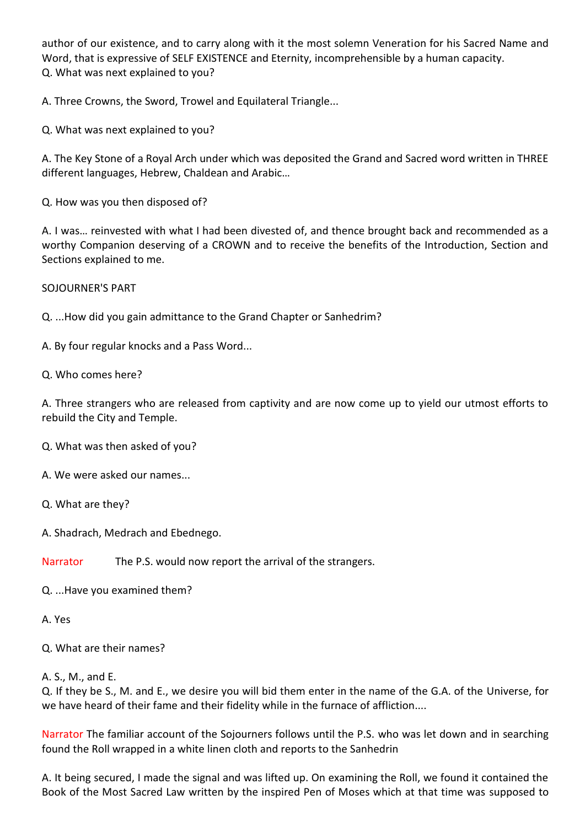author of our existence, and to carry along with it the most solemn Veneration for his Sacred Name and Word, that is expressive of SELF EXISTENCE and Eternity, incomprehensible by a human capacity. Q. What was next explained to you?

A. Three Crowns, the Sword, Trowel and Equilateral Triangle...

Q. What was next explained to you?

A. The Key Stone of a Royal Arch under which was deposited the Grand and Sacred word written in THREE different languages, Hebrew, Chaldean and Arabic…

Q. How was you then disposed of?

A. I was… reinvested with what I had been divested of, and thence brought back and recommended as a worthy Companion deserving of a CROWN and to receive the benefits of the Introduction, Section and Sections explained to me.

SOJOURNER'S PART

Q. ...How did you gain admittance to the Grand Chapter or Sanhedrim?

A. By four regular knocks and a Pass Word...

Q. Who comes here?

A. Three strangers who are released from captivity and are now come up to yield our utmost efforts to rebuild the City and Temple.

Q. What was then asked of you?

- A. We were asked our names...
- Q. What are they?

A. Shadrach, Medrach and Ebednego.

Narrator The P.S. would now report the arrival of the strangers.

Q. ...Have you examined them?

A. Yes

Q. What are their names?

A. S., M., and E.

Q. If they be S., M. and E., we desire you will bid them enter in the name of the G.A. of the Universe, for we have heard of their fame and their fidelity while in the furnace of affliction....

Narrator The familiar account of the Sojourners follows until the P.S. who was let down and in searching found the Roll wrapped in a white linen cloth and reports to the Sanhedrin

A. It being secured, I made the signal and was lifted up. On examining the Roll, we found it contained the Book of the Most Sacred Law written by the inspired Pen of Moses which at that time was supposed to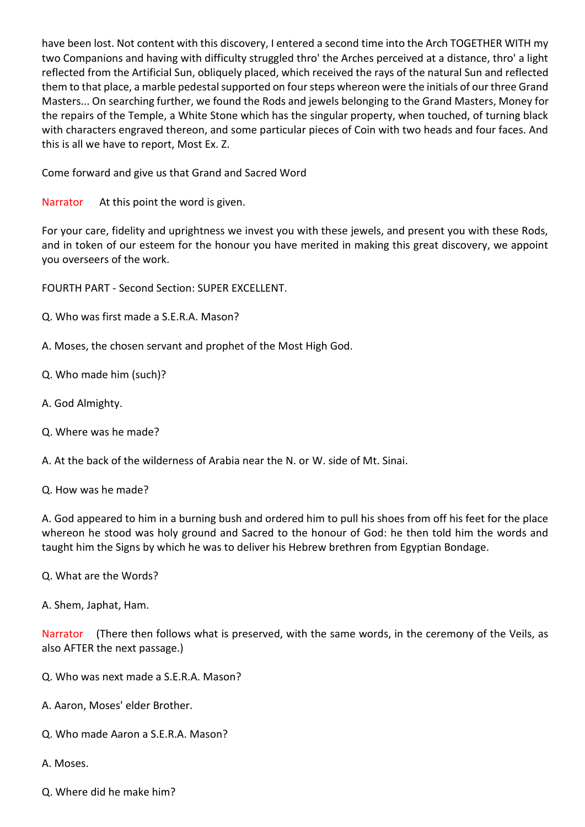have been lost. Not content with this discovery, I entered a second time into the Arch TOGETHER WITH my two Companions and having with difficulty struggled thro' the Arches perceived at a distance, thro' a light reflected from the Artificial Sun, obliquely placed, which received the rays of the natural Sun and reflected them to that place, a marble pedestal supported on four steps whereon were the initials of our three Grand Masters... On searching further, we found the Rods and jewels belonging to the Grand Masters, Money for the repairs of the Temple, a White Stone which has the singular property, when touched, of turning black with characters engraved thereon, and some particular pieces of Coin with two heads and four faces. And this is all we have to report, Most Ex. Z.

Come forward and give us that Grand and Sacred Word

Narrator At this point the word is given.

For your care, fidelity and uprightness we invest you with these jewels, and present you with these Rods, and in token of our esteem for the honour you have merited in making this great discovery, we appoint you overseers of the work.

FOURTH PART - Second Section: SUPER EXCELLENT.

- Q. Who was first made a S.E.R.A. Mason?
- A. Moses, the chosen servant and prophet of the Most High God.
- Q. Who made him (such)?
- A. God Almighty.
- Q. Where was he made?
- A. At the back of the wilderness of Arabia near the N. or W. side of Mt. Sinai.

Q. How was he made?

A. God appeared to him in a burning bush and ordered him to pull his shoes from off his feet for the place whereon he stood was holy ground and Sacred to the honour of God: he then told him the words and taught him the Signs by which he was to deliver his Hebrew brethren from Egyptian Bondage.

- Q. What are the Words?
- A. Shem, Japhat, Ham.

Narrator (There then follows what is preserved, with the same words, in the ceremony of the Veils, as also AFTER the next passage.)

- Q. Who was next made a S.E.R.A. Mason?
- A. Aaron, Moses' elder Brother.
- Q. Who made Aaron a S.E.R.A. Mason?
- A. Moses.
- Q. Where did he make him?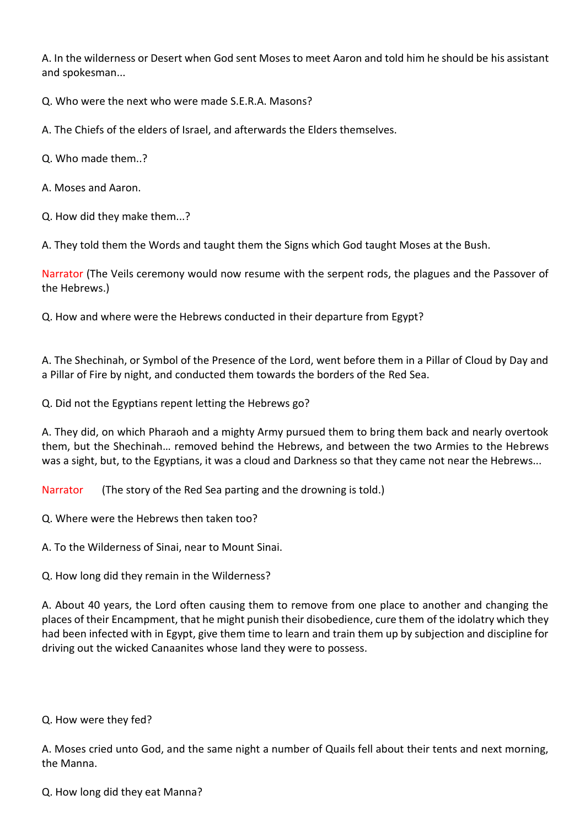A. In the wilderness or Desert when God sent Moses to meet Aaron and told him he should be his assistant and spokesman...

Q. Who were the next who were made S.E.R.A. Masons?

A. The Chiefs of the elders of Israel, and afterwards the Elders themselves.

Q. Who made them..?

A. Moses and Aaron.

Q. How did they make them...?

A. They told them the Words and taught them the Signs which God taught Moses at the Bush.

Narrator (The Veils ceremony would now resume with the serpent rods, the plagues and the Passover of the Hebrews.)

Q. How and where were the Hebrews conducted in their departure from Egypt?

A. The Shechinah, or Symbol of the Presence of the Lord, went before them in a Pillar of Cloud by Day and a Pillar of Fire by night, and conducted them towards the borders of the Red Sea.

Q. Did not the Egyptians repent letting the Hebrews go?

A. They did, on which Pharaoh and a mighty Army pursued them to bring them back and nearly overtook them, but the Shechinah… removed behind the Hebrews, and between the two Armies to the Hebrews was a sight, but, to the Egyptians, it was a cloud and Darkness so that they came not near the Hebrews...

Narrator (The story of the Red Sea parting and the drowning is told.)

Q. Where were the Hebrews then taken too?

A. To the Wilderness of Sinai, near to Mount Sinai.

Q. How long did they remain in the Wilderness?

A. About 40 years, the Lord often causing them to remove from one place to another and changing the places of their Encampment, that he might punish their disobedience, cure them of the idolatry which they had been infected with in Egypt, give them time to learn and train them up by subjection and discipline for driving out the wicked Canaanites whose land they were to possess.

Q. How were they fed?

A. Moses cried unto God, and the same night a number of Quails fell about their tents and next morning, the Manna.

Q. How long did they eat Manna?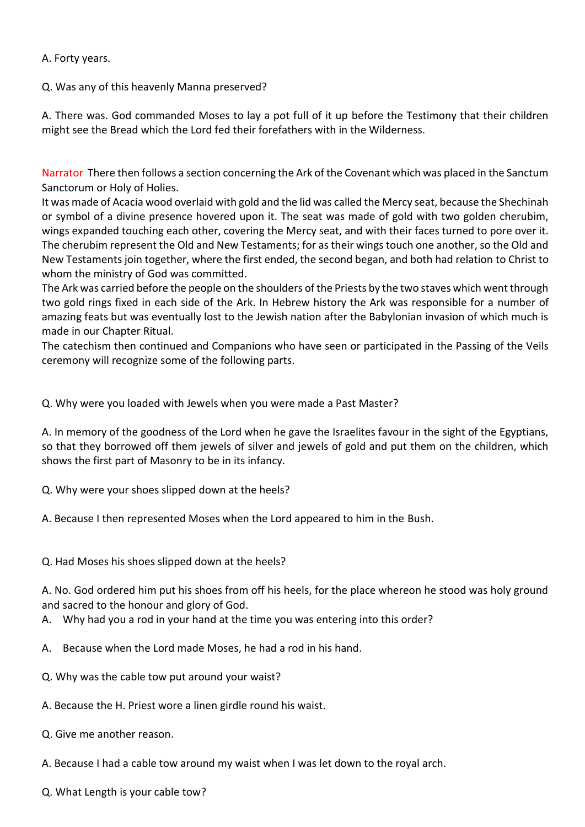## A. Forty years.

Q. Was any of this heavenly Manna preserved?

A. There was. God commanded Moses to lay a pot full of it up before the Testimony that their children might see the Bread which the Lord fed their forefathers with in the Wilderness.

Narrator There then follows a section concerning the Ark of the Covenant which was placed in the Sanctum Sanctorum or Holy of Holies.

It was made of Acacia wood overlaid with gold and the lid was called the Mercy seat, because the Shechinah or symbol of a divine presence hovered upon it. The seat was made of gold with two golden cherubim, wings expanded touching each other, covering the Mercy seat, and with their faces turned to pore over it. The cherubim represent the Old and New Testaments; for as their wings touch one another, so the Old and New Testaments join together, where the first ended, the second began, and both had relation to Christ to whom the ministry of God was committed.

The Ark was carried before the people on the shoulders of the Priests by the two staves which went through two gold rings fixed in each side of the Ark. In Hebrew history the Ark was responsible for a number of amazing feats but was eventually lost to the Jewish nation after the Babylonian invasion of which much is made in our Chapter Ritual.

The catechism then continued and Companions who have seen or participated in the Passing of the Veils ceremony will recognize some of the following parts.

Q. Why were you loaded with Jewels when you were made a Past Master?

A. In memory of the goodness of the Lord when he gave the Israelites favour in the sight of the Egyptians, so that they borrowed off them jewels of silver and jewels of gold and put them on the children, which shows the first part of Masonry to be in its infancy.

Q. Why were your shoes slipped down at the heels?

A. Because I then represented Moses when the Lord appeared to him in the Bush.

Q. Had Moses his shoes slipped down at the heels?

A. No. God ordered him put his shoes from off his heels, for the place whereon he stood was holy ground and sacred to the honour and glory of God.

A. Why had you a rod in your hand at the time you was entering into this order?

- A. Because when the Lord made Moses, he had a rod in his hand.
- Q. Why was the cable tow put around your waist?
- A. Because the H. Priest wore a linen girdle round his waist.
- Q. Give me another reason.
- A. Because I had a cable tow around my waist when I was let down to the royal arch.

Q. What Length is your cable tow?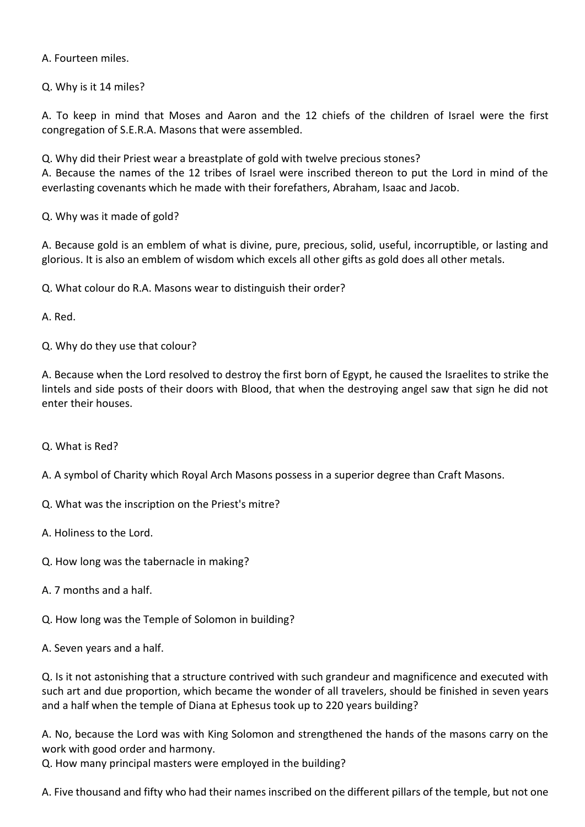A. Fourteen miles.

Q. Why is it 14 miles?

A. To keep in mind that Moses and Aaron and the 12 chiefs of the children of Israel were the first congregation of S.E.R.A. Masons that were assembled.

Q. Why did their Priest wear a breastplate of gold with twelve precious stones?

A. Because the names of the 12 tribes of Israel were inscribed thereon to put the Lord in mind of the everlasting covenants which he made with their forefathers, Abraham, Isaac and Jacob.

Q. Why was it made of gold?

A. Because gold is an emblem of what is divine, pure, precious, solid, useful, incorruptible, or lasting and glorious. It is also an emblem of wisdom which excels all other gifts as gold does all other metals.

Q. What colour do R.A. Masons wear to distinguish their order?

A. Red.

Q. Why do they use that colour?

A. Because when the Lord resolved to destroy the first born of Egypt, he caused the Israelites to strike the lintels and side posts of their doors with Blood, that when the destroying angel saw that sign he did not enter their houses.

Q. What is Red?

A. A symbol of Charity which Royal Arch Masons possess in a superior degree than Craft Masons.

Q. What was the inscription on the Priest's mitre?

A. Holiness to the Lord.

Q. How long was the tabernacle in making?

A. 7 months and a half.

Q. How long was the Temple of Solomon in building?

A. Seven years and a half.

Q. Is it not astonishing that a structure contrived with such grandeur and magnificence and executed with such art and due proportion, which became the wonder of all travelers, should be finished in seven years and a half when the temple of Diana at Ephesus took up to 220 years building?

A. No, because the Lord was with King Solomon and strengthened the hands of the masons carry on the work with good order and harmony.

Q. How many principal masters were employed in the building?

A. Five thousand and fifty who had their names inscribed on the different pillars of the temple, but not one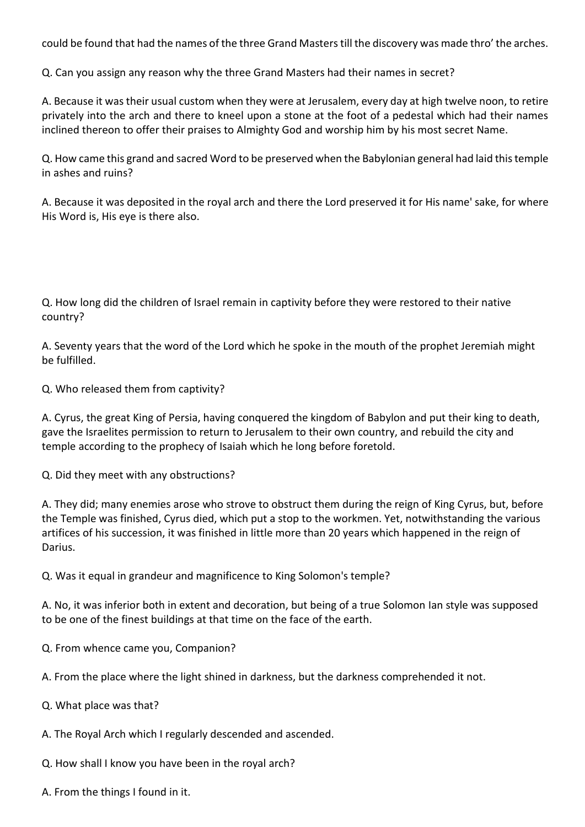could be found that had the names of the three Grand Masters till the discovery was made thro' the arches.

Q. Can you assign any reason why the three Grand Masters had their names in secret?

A. Because it was their usual custom when they were at Jerusalem, every day at high twelve noon, to retire privately into the arch and there to kneel upon a stone at the foot of a pedestal which had their names inclined thereon to offer their praises to Almighty God and worship him by his most secret Name.

Q. How came this grand and sacred Word to be preserved when the Babylonian general had laid this temple in ashes and ruins?

A. Because it was deposited in the royal arch and there the Lord preserved it for His name' sake, for where His Word is, His eye is there also.

Q. How long did the children of Israel remain in captivity before they were restored to their native country?

A. Seventy years that the word of the Lord which he spoke in the mouth of the prophet Jeremiah might be fulfilled.

Q. Who released them from captivity?

A. Cyrus, the great King of Persia, having conquered the kingdom of Babylon and put their king to death, gave the Israelites permission to return to Jerusalem to their own country, and rebuild the city and temple according to the prophecy of Isaiah which he long before foretold.

Q. Did they meet with any obstructions?

A. They did; many enemies arose who strove to obstruct them during the reign of King Cyrus, but, before the Temple was finished, Cyrus died, which put a stop to the workmen. Yet, notwithstanding the various artifices of his succession, it was finished in little more than 20 years which happened in the reign of Darius.

Q. Was it equal in grandeur and magnificence to King Solomon's temple?

A. No, it was inferior both in extent and decoration, but being of a true Solomon Ian style was supposed to be one of the finest buildings at that time on the face of the earth.

Q. From whence came you, Companion?

A. From the place where the light shined in darkness, but the darkness comprehended it not.

Q. What place was that?

A. The Royal Arch which I regularly descended and ascended.

- Q. How shall I know you have been in the royal arch?
- A. From the things I found in it.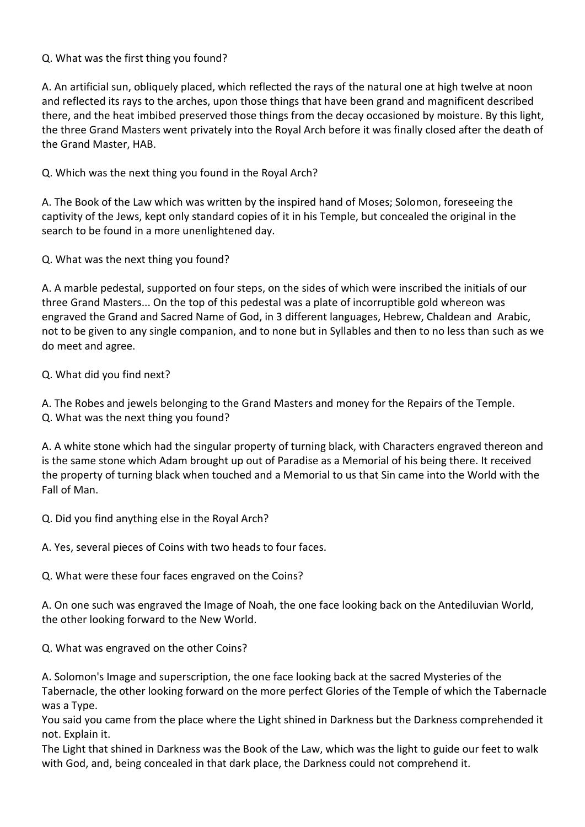## Q. What was the first thing you found?

A. An artificial sun, obliquely placed, which reflected the rays of the natural one at high twelve at noon and reflected its rays to the arches, upon those things that have been grand and magnificent described there, and the heat imbibed preserved those things from the decay occasioned by moisture. By this light, the three Grand Masters went privately into the Royal Arch before it was finally closed after the death of the Grand Master, HAB.

Q. Which was the next thing you found in the Royal Arch?

A. The Book of the Law which was written by the inspired hand of Moses; Solomon, foreseeing the captivity of the Jews, kept only standard copies of it in his Temple, but concealed the original in the search to be found in a more unenlightened day.

Q. What was the next thing you found?

A. A marble pedestal, supported on four steps, on the sides of which were inscribed the initials of our three Grand Masters... On the top of this pedestal was a plate of incorruptible gold whereon was engraved the Grand and Sacred Name of God, in 3 different languages, Hebrew, Chaldean and Arabic, not to be given to any single companion, and to none but in Syllables and then to no less than such as we do meet and agree.

Q. What did you find next?

A. The Robes and jewels belonging to the Grand Masters and money for the Repairs of the Temple. Q. What was the next thing you found?

A. A white stone which had the singular property of turning black, with Characters engraved thereon and is the same stone which Adam brought up out of Paradise as a Memorial of his being there. It received the property of turning black when touched and a Memorial to us that Sin came into the World with the Fall of Man.

Q. Did you find anything else in the Royal Arch?

A. Yes, several pieces of Coins with two heads to four faces.

Q. What were these four faces engraved on the Coins?

A. On one such was engraved the Image of Noah, the one face looking back on the Antediluvian World, the other looking forward to the New World.

Q. What was engraved on the other Coins?

A. Solomon's Image and superscription, the one face looking back at the sacred Mysteries of the Tabernacle, the other looking forward on the more perfect Glories of the Temple of which the Tabernacle was a Type.

You said you came from the place where the Light shined in Darkness but the Darkness comprehended it not. Explain it.

The Light that shined in Darkness was the Book of the Law, which was the light to guide our feet to walk with God, and, being concealed in that dark place, the Darkness could not comprehend it.